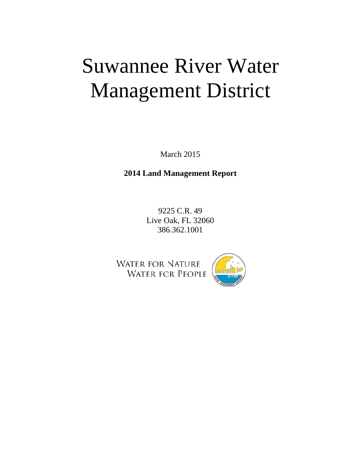# Suwannee River Water Management District

March 2015

2014 Land Management Report

922 25 C.R. 49 Live Oak, FL 32060 386 6.362.1001

**WATER FOR NATURE WATER FOR PEOPLE** 

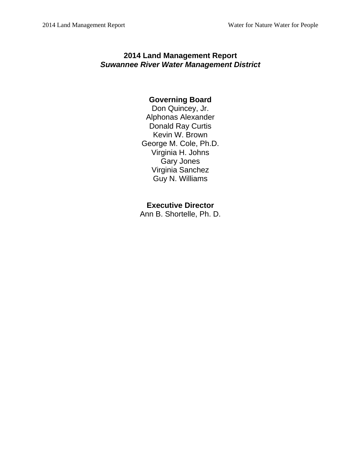## **2014 Land Management Report**  *Suwannee River Water Management District*

## **Governing Board**

Don Quincey, Jr. Alphonas Alexander Donald Ray Curtis Kevin W. Brown George M. Cole, Ph.D. Virginia H. Johns Gary Jones Virginia Sanchez Guy N. Williams

## **Executive Director**

Ann B. Shortelle, Ph. D.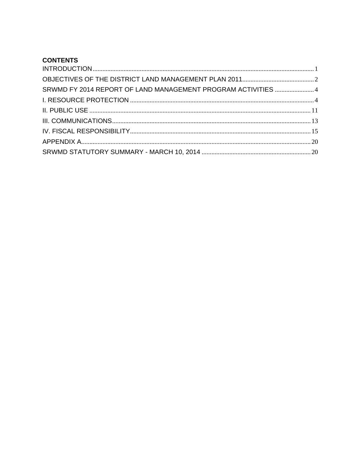## **CONTENTS**

| SRWMD FY 2014 REPORT OF LAND MANAGEMENT PROGRAM ACTIVITIES  4 |  |
|---------------------------------------------------------------|--|
|                                                               |  |
|                                                               |  |
|                                                               |  |
|                                                               |  |
|                                                               |  |
|                                                               |  |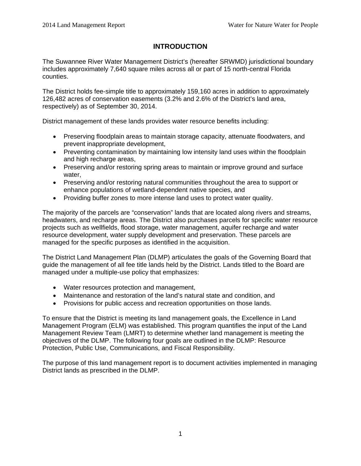## **INTRODUCTION**

The Suwannee River Water Management District's (hereafter SRWMD) jurisdictional boundary includes approximately 7,640 square miles across all or part of 15 north-central Florida counties.

The District holds fee-simple title to approximately 159,160 acres in addition to approximately 126,482 acres of conservation easements (3.2% and 2.6% of the District's land area, respectively) as of September 30, 2014.

District management of these lands provides water resource benefits including:

- Preserving floodplain areas to maintain storage capacity, attenuate floodwaters, and prevent inappropriate development,
- Preventing contamination by maintaining low intensity land uses within the floodplain and high recharge areas,
- Preserving and/or restoring spring areas to maintain or improve ground and surface water,
- Preserving and/or restoring natural communities throughout the area to support or enhance populations of wetland-dependent native species, and
- Providing buffer zones to more intense land uses to protect water quality.

The majority of the parcels are "conservation" lands that are located along rivers and streams, headwaters, and recharge areas. The District also purchases parcels for specific water resource projects such as wellfields, flood storage, water management, aquifer recharge and water resource development, water supply development and preservation. These parcels are managed for the specific purposes as identified in the acquisition.

The District Land Management Plan (DLMP) articulates the goals of the Governing Board that guide the management of all fee title lands held by the District. Lands titled to the Board are managed under a multiple-use policy that emphasizes:

- Water resources protection and management,
- Maintenance and restoration of the land's natural state and condition, and
- Provisions for public access and recreation opportunities on those lands.

To ensure that the District is meeting its land management goals, the Excellence in Land Management Program (ELM) was established. This program quantifies the input of the Land Management Review Team (LMRT) to determine whether land management is meeting the objectives of the DLMP. The following four goals are outlined in the DLMP: Resource Protection, Public Use, Communications, and Fiscal Responsibility.

The purpose of this land management report is to document activities implemented in managing District lands as prescribed in the DLMP.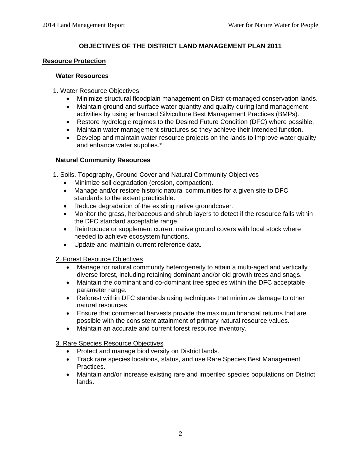## **OBJECTIVES OF THE DISTRICT LAND MANAGEMENT PLAN 2011**

#### **Resource Protection**

#### **Water Resources**

#### 1. Water Resource Objectives

- Minimize structural floodplain management on District-managed conservation lands.
- Maintain ground and surface water quantity and quality during land management activities by using enhanced Silviculture Best Management Practices (BMPs).
- Restore hydrologic regimes to the Desired Future Condition (DFC) where possible.
- Maintain water management structures so they achieve their intended function.
- Develop and maintain water resource projects on the lands to improve water quality and enhance water supplies.\*

## **Natural Community Resources**

1. Soils, Topography, Ground Cover and Natural Community Objectives

- Minimize soil degradation (erosion, compaction).
- Manage and/or restore historic natural communities for a given site to DFC standards to the extent practicable.
- Reduce degradation of the existing native groundcover.
- Monitor the grass, herbaceous and shrub layers to detect if the resource falls within the DFC standard acceptable range.
- Reintroduce or supplement current native ground covers with local stock where needed to achieve ecosystem functions.
- Update and maintain current reference data.

#### 2. Forest Resource Objectives

- Manage for natural community heterogeneity to attain a multi-aged and vertically diverse forest, including retaining dominant and/or old growth trees and snags.
- Maintain the dominant and co-dominant tree species within the DFC acceptable parameter range.
- Reforest within DFC standards using techniques that minimize damage to other natural resources.
- Ensure that commercial harvests provide the maximum financial returns that are possible with the consistent attainment of primary natural resource values.
- Maintain an accurate and current forest resource inventory.

#### 3. Rare Species Resource Objectives

- Protect and manage biodiversity on District lands.
- Track rare species locations, status, and use Rare Species Best Management Practices.
- Maintain and/or increase existing rare and imperiled species populations on District lands.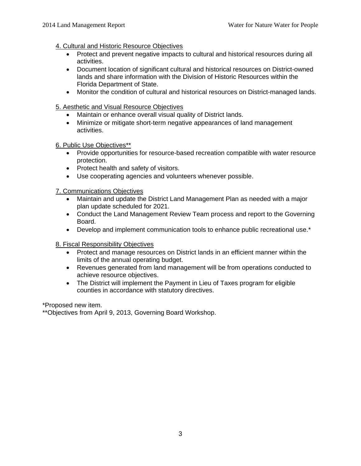## 4. Cultural and Historic Resource Objectives

- Protect and prevent negative impacts to cultural and historical resources during all activities.
- Document location of significant cultural and historical resources on District-owned lands and share information with the Division of Historic Resources within the Florida Department of State.
- Monitor the condition of cultural and historical resources on District-managed lands.

#### 5. Aesthetic and Visual Resource Objectives

- Maintain or enhance overall visual quality of District lands.
- Minimize or mitigate short-term negative appearances of land management activities.

#### 6. Public Use Objectives\*\*

- Provide opportunities for resource-based recreation compatible with water resource protection.
- Protect health and safety of visitors.
- Use cooperating agencies and volunteers whenever possible.

#### 7. Communications Objectives

- Maintain and update the District Land Management Plan as needed with a major plan update scheduled for 2021.
- Conduct the Land Management Review Team process and report to the Governing Board.
- Develop and implement communication tools to enhance public recreational use.\*

#### 8. Fiscal Responsibility Objectives

- Protect and manage resources on District lands in an efficient manner within the limits of the annual operating budget.
- Revenues generated from land management will be from operations conducted to achieve resource objectives.
- The District will implement the Payment in Lieu of Taxes program for eligible counties in accordance with statutory directives.

#### \*Proposed new item.

\*\*Objectives from April 9, 2013, Governing Board Workshop.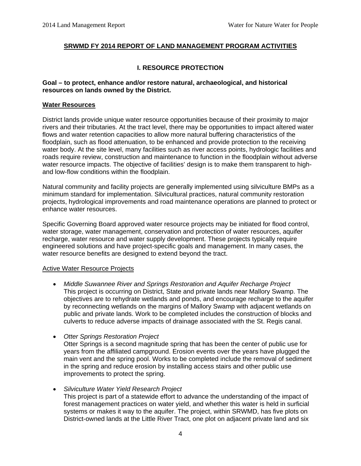#### **SRWMD FY 2014 REPORT OF LAND MANAGEMENT PROGRAM ACTIVITIES**

#### **I. RESOURCE PROTECTION**

#### **Goal – to protect, enhance and/or restore natural, archaeological, and historical resources on lands owned by the District.**

#### **Water Resources**

District lands provide unique water resource opportunities because of their proximity to major rivers and their tributaries. At the tract level, there may be opportunities to impact altered water flows and water retention capacities to allow more natural buffering characteristics of the floodplain, such as flood attenuation, to be enhanced and provide protection to the receiving water body. At the site level, many facilities such as river access points, hydrologic facilities and roads require review, construction and maintenance to function in the floodplain without adverse water resource impacts. The objective of facilities' design is to make them transparent to highand low-flow conditions within the floodplain.

Natural community and facility projects are generally implemented using silviculture BMPs as a minimum standard for implementation. Silvicultural practices, natural community restoration projects, hydrological improvements and road maintenance operations are planned to protect or enhance water resources.

Specific Governing Board approved water resource projects may be initiated for flood control, water storage, water management, conservation and protection of water resources, aquifer recharge, water resource and water supply development. These projects typically require engineered solutions and have project-specific goals and management. In many cases, the water resource benefits are designed to extend beyond the tract.

#### Active Water Resource Projects

- *Middle Suwannee River and Springs Restoration and Aquifer Recharge Project* This project is occurring on District, State and private lands near Mallory Swamp. The objectives are to rehydrate wetlands and ponds, and encourage recharge to the aquifer by reconnecting wetlands on the margins of Mallory Swamp with adjacent wetlands on public and private lands. Work to be completed includes the construction of blocks and culverts to reduce adverse impacts of drainage associated with the St. Regis canal.
- *Otter Springs Restoration Project* Otter Springs is a second magnitude spring that has been the center of public use for years from the affiliated campground. Erosion events over the years have plugged the main vent and the spring pool. Works to be completed include the removal of sediment in the spring and reduce erosion by installing access stairs and other public use improvements to protect the spring.
- *Silviculture Water Yield Research Project* This project is part of a statewide effort to advance the understanding of the impact of forest management practices on water yield, and whether this water is held in surficial systems or makes it way to the aquifer. The project, within SRWMD, has five plots on District-owned lands at the Little River Tract, one plot on adjacent private land and six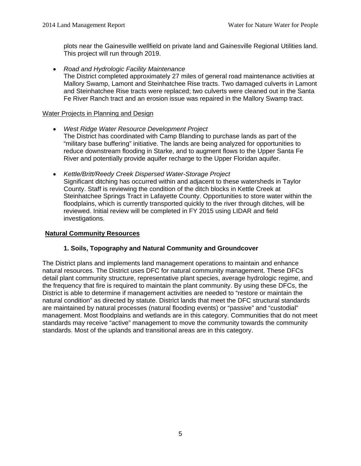plots near the Gainesville wellfield on private land and Gainesville Regional Utilities land. This project will run through 2019.

 *Road and Hydrologic Facility Maintenance* The District completed approximately 27 miles of general road maintenance activities at Mallory Swamp, Lamont and Steinhatchee Rise tracts. Two damaged culverts in Lamont and Steinhatchee Rise tracts were replaced; two culverts were cleaned out in the Santa Fe River Ranch tract and an erosion issue was repaired in the Mallory Swamp tract.

## Water Projects in Planning and Design

- *West Ridge Water Resource Development Project* The District has coordinated with Camp Blanding to purchase lands as part of the "military base buffering" initiative. The lands are being analyzed for opportunities to reduce downstream flooding in Starke, and to augment flows to the Upper Santa Fe River and potentially provide aquifer recharge to the Upper Floridan aquifer.
- *Kettle/Britt/Reedy Creek Dispersed Water-Storage Project* Significant ditching has occurred within and adjacent to these watersheds in Taylor County. Staff is reviewing the condition of the ditch blocks in Kettle Creek at Steinhatchee Springs Tract in Lafayette County. Opportunities to store water within the floodplains, which is currently transported quickly to the river through ditches, will be reviewed. Initial review will be completed in FY 2015 using LIDAR and field investigations.

#### **Natural Community Resources**

## **1. Soils, Topography and Natural Community and Groundcover**

The District plans and implements land management operations to maintain and enhance natural resources. The District uses DFC for natural community management. These DFCs detail plant community structure, representative plant species, average hydrologic regime, and the frequency that fire is required to maintain the plant community. By using these DFCs, the District is able to determine if management activities are needed to "restore or maintain the natural condition" as directed by statute. District lands that meet the DFC structural standards are maintained by natural processes (natural flooding events) or "passive" and "custodial" management. Most floodplains and wetlands are in this category. Communities that do not meet standards may receive "active" management to move the community towards the community standards. Most of the uplands and transitional areas are in this category.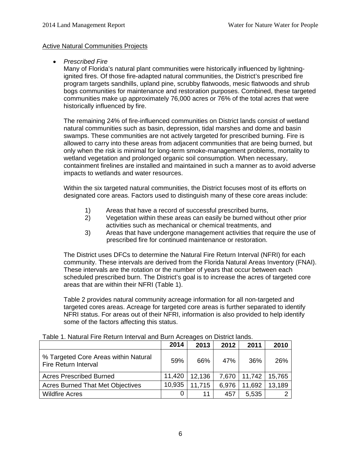#### Active Natural Communities Projects

*Prescribed Fire* 

Many of Florida's natural plant communities were historically influenced by lightningignited fires. Of those fire-adapted natural communities, the District's prescribed fire program targets sandhills, upland pine, scrubby flatwoods, mesic flatwoods and shrub bogs communities for maintenance and restoration purposes. Combined, these targeted communities make up approximately 76,000 acres or 76% of the total acres that were historically influenced by fire.

The remaining 24% of fire-influenced communities on District lands consist of wetland natural communities such as basin, depression, tidal marshes and dome and basin swamps. These communities are not actively targeted for prescribed burning. Fire is allowed to carry into these areas from adjacent communities that are being burned, but only when the risk is minimal for long-term smoke-management problems, mortality to wetland vegetation and prolonged organic soil consumption. When necessary, containment firelines are installed and maintained in such a manner as to avoid adverse impacts to wetlands and water resources.

Within the six targeted natural communities, the District focuses most of its efforts on designated core areas. Factors used to distinguish many of these core areas include:

- 1) Areas that have a record of successful prescribed burns,<br>2) Vegetation within these areas can easily be burned witho
- 2) Vegetation within these areas can easily be burned without other prior activities such as mechanical or chemical treatments, and
- 3) Areas that have undergone management activities that require the use of prescribed fire for continued maintenance or restoration.

The District uses DFCs to determine the Natural Fire Return Interval (NFRI) for each community. These intervals are derived from the Florida Natural Areas Inventory (FNAI). These intervals are the rotation or the number of years that occur between each scheduled prescribed burn. The District's goal is to increase the acres of targeted core areas that are within their NFRI (Table 1).

Table 2 provides natural community acreage information for all non-targeted and targeted cores areas. Acreage for targeted core areas is further separated to identify NFRI status. For areas out of their NFRI, information is also provided to help identify some of the factors affecting this status.

|                                                              | 2014   | 2013   | 2012  | 2011   | 2010   |
|--------------------------------------------------------------|--------|--------|-------|--------|--------|
| % Targeted Core Areas within Natural<br>Fire Return Interval | 59%    | 66%    | 47%   | 36%    | 26%    |
| <b>Acres Prescribed Burned</b>                               | 11,420 | 12,136 | 7,670 | 11,742 | 15,765 |
| <b>Acres Burned That Met Objectives</b>                      | 10,935 | 11.715 | 6,976 | 11,692 | 13,189 |
| <b>Wildfire Acres</b>                                        |        | 11     | 457   | 5,535  | ⌒      |

Table 1. Natural Fire Return Interval and Burn Acreages on District lands.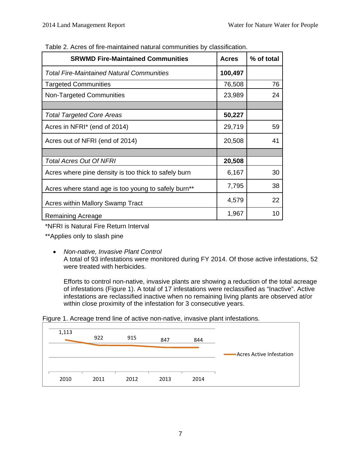| <b>SRWMD Fire-Maintained Communities</b>             | <b>Acres</b> | % of total |
|------------------------------------------------------|--------------|------------|
| <b>Total Fire-Maintained Natural Communities</b>     | 100,497      |            |
| <b>Targeted Communities</b>                          | 76,508       | 76         |
| Non-Targeted Communities                             | 23,989       | 24         |
|                                                      |              |            |
| <b>Total Targeted Core Areas</b>                     | 50,227       |            |
| Acres in NFRI* (end of 2014)                         | 29,719       | 59         |
| Acres out of NFRI (end of 2014)                      | 20,508       | 41         |
|                                                      |              |            |
| <b>Total Acres Out Of NFRI</b>                       | 20,508       |            |
| Acres where pine density is too thick to safely burn | 6,167        | 30         |
| Acres where stand age is too young to safely burn**  | 7,795        | 38         |
| Acres within Mallory Swamp Tract                     | 4,579        | 22         |
| <b>Remaining Acreage</b>                             | 1,967        | 10         |

| Table 2. Acres of fire-maintained natural communities by classification. |  |  |
|--------------------------------------------------------------------------|--|--|
|                                                                          |  |  |

\*NFRI is Natural Fire Return Interval

\*\*Applies only to slash pine

 *Non-native, Invasive Plant Control*  A total of 93 infestations were monitored during FY 2014. Of those active infestations, 52 were treated with herbicides.

Efforts to control non-native, invasive plants are showing a reduction of the total acreage of infestations (Figure 1). A total of 17 infestations were reclassified as "Inactive". Active infestations are reclassified inactive when no remaining living plants are observed at/or within close proximity of the infestation for 3 consecutive years.

Figure 1. Acreage trend line of active non-native, invasive plant infestations.

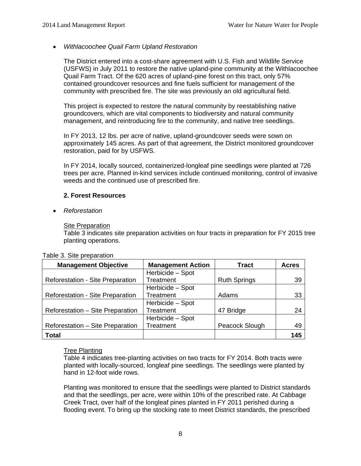*Withlacoochee Quail Farm Upland Restoration*

The District entered into a cost-share agreement with U.S. Fish and Wildlife Service (USFWS) in July 2011 to restore the native upland-pine community at the Withlacoochee Quail Farm Tract. Of the 620 acres of upland-pine forest on this tract, only 57% contained groundcover resources and fine fuels sufficient for management of the community with prescribed fire. The site was previously an old agricultural field.

This project is expected to restore the natural community by reestablishing native groundcovers, which are vital components to biodiversity and natural community management, and reintroducing fire to the community, and native tree seedlings.

In FY 2013, 12 lbs. per acre of native, upland-groundcover seeds were sown on approximately 145 acres. As part of that agreement, the District monitored groundcover restoration, paid for by USFWS.

In FY 2014, locally sourced, containerized-longleaf pine seedlings were planted at 726 trees per acre. Planned in-kind services include continued monitoring, control of invasive weeds and the continued use of prescribed fire.

#### **2. Forest Resources**

*Reforestation* 

#### Site Preparation

Table 3 indicates site preparation activities on four tracts in preparation for FY 2015 tree planting operations.

| <b>Management Objective</b>      | <b>Management Action</b> | Tract               | Acres |
|----------------------------------|--------------------------|---------------------|-------|
|                                  | Herbicide - Spot         |                     |       |
| Reforestation - Site Preparation | Treatment                | <b>Ruth Springs</b> | 39    |
|                                  | Herbicide - Spot         |                     |       |
| Reforestation - Site Preparation | Treatment                | Adams               | 33    |
|                                  | Herbicide - Spot         |                     |       |
| Reforestation - Site Preparation | Treatment                | 47 Bridge           | 24    |
|                                  | Herbicide - Spot         |                     |       |
| Reforestation - Site Preparation | Treatment                | Peacock Slough      | 49    |
| <b>Total</b>                     |                          |                     | 145   |

#### Table 3. Site preparation

#### Tree Planting

Table 4 indicates tree-planting activities on two tracts for FY 2014. Both tracts were planted with locally-sourced, longleaf pine seedlings. The seedlings were planted by hand in 12-foot wide rows.

Planting was monitored to ensure that the seedlings were planted to District standards and that the seedlings, per acre, were within 10% of the prescribed rate. At Cabbage Creek Tract, over half of the longleaf pines planted in FY 2011 perished during a flooding event. To bring up the stocking rate to meet District standards, the prescribed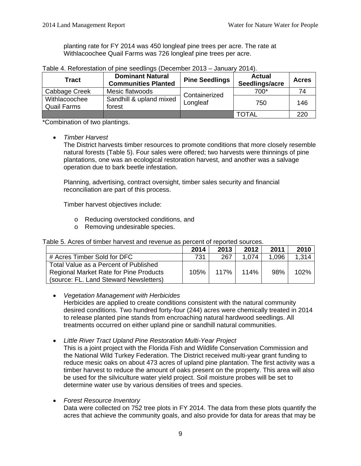planting rate for FY 2014 was 450 longleaf pine trees per acre. The rate at Withlacoochee Quail Farms was 726 longleaf pine trees per acre.

| <b>Tract</b>                        | <b>Dominant Natural</b><br><b>Communities Planted</b> | <b>Pine Seedlings</b> | <b>Actual</b><br>Seedlings/acre | <b>Acres</b> |
|-------------------------------------|-------------------------------------------------------|-----------------------|---------------------------------|--------------|
| Cabbage Creek                       | Mesic flatwoods                                       | Containerized         | 700*                            | 74           |
| Withlacoochee<br><b>Quail Farms</b> | Sandhill & upland mixed<br>forest                     | Longleaf              | 750                             | 146          |
|                                     |                                                       |                       | TOTAL                           | 220          |

| Table 4. Reforestation of pine seedlings (December 2013 - January 2014). |  |  |  |
|--------------------------------------------------------------------------|--|--|--|

\*Combination of two plantings.

*Timber Harvest* 

The District harvests timber resources to promote conditions that more closely resemble natural forests (Table 5). Four sales were offered; two harvests were thinnings of pine plantations, one was an ecological restoration harvest, and another was a salvage operation due to bark beetle infestation.

Planning, advertising, contract oversight, timber sales security and financial reconciliation are part of this process.

Timber harvest objectives include:

- o Reducing overstocked conditions, and
- o Removing undesirable species.

|                                        | 2014 | 2013 | 2012  | 2011  | 2010  |
|----------------------------------------|------|------|-------|-------|-------|
| # Acres Timber Sold for DFC            | 731  | 267  | 1.074 | 1.096 | 1.314 |
| Total Value as a Percent of Published  |      |      |       |       |       |
| Regional Market Rate for Pine Products | 105% | 117% | 114%  | 98%   | 102%  |
| (source: FL. Land Steward Newsletters) |      |      |       |       |       |

#### Table 5. Acres of timber harvest and revenue as percent of reported sources.

- *Vegetation Management with Herbicides*  Herbicides are applied to create conditions consistent with the natural community desired conditions. Two hundred forty-four (244) acres were chemically treated in 2014 to release planted pine stands from encroaching natural hardwood seedlings. All treatments occurred on either upland pine or sandhill natural communities.
- *Little River Tract Upland Pine Restoration Multi-Year Project*
	- This is a joint project with the Florida Fish and Wildlife Conservation Commission and the National Wild Turkey Federation. The District received multi-year grant funding to reduce mesic oaks on about 473 acres of upland pine plantation. The first activity was a timber harvest to reduce the amount of oaks present on the property. This area will also be used for the silviculture water yield project. Soil moisture probes will be set to determine water use by various densities of trees and species.

*Forest Resource Inventory* 

Data were collected on 752 tree plots in FY 2014. The data from these plots quantify the acres that achieve the community goals, and also provide for data for areas that may be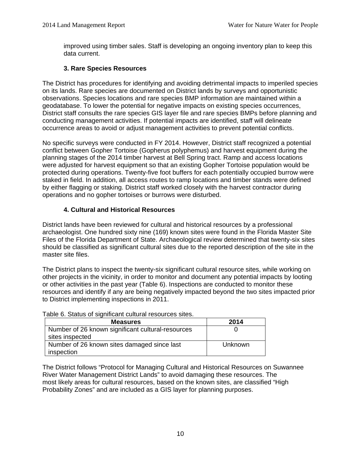improved using timber sales. Staff is developing an ongoing inventory plan to keep this data current.

## **3. Rare Species Resources**

The District has procedures for identifying and avoiding detrimental impacts to imperiled species on its lands. Rare species are documented on District lands by surveys and opportunistic observations. Species locations and rare species BMP information are maintained within a geodatabase. To lower the potential for negative impacts on existing species occurrences, District staff consults the rare species GIS layer file and rare species BMPs before planning and conducting management activities. If potential impacts are identified, staff will delineate occurrence areas to avoid or adjust management activities to prevent potential conflicts.

No specific surveys were conducted in FY 2014. However, District staff recognized a potential conflict between Gopher Tortoise (Gopherus polyphemus) and harvest equipment during the planning stages of the 2014 timber harvest at Bell Spring tract. Ramp and access locations were adjusted for harvest equipment so that an existing Gopher Tortoise population would be protected during operations. Twenty-five foot buffers for each potentially occupied burrow were staked in field. In addition, all access routes to ramp locations and timber stands were defined by either flagging or staking. District staff worked closely with the harvest contractor during operations and no gopher tortoises or burrows were disturbed.

## **4. Cultural and Historical Resources**

District lands have been reviewed for cultural and historical resources by a professional archaeologist. One hundred sixty nine (169) known sites were found in the Florida Master Site Files of the Florida Department of State. Archaeological review determined that twenty-six sites should be classified as significant cultural sites due to the reported description of the site in the master site files.

The District plans to inspect the twenty-six significant cultural resource sites, while working on other projects in the vicinity, in order to monitor and document any potential impacts by looting or other activities in the past year (Table 6). Inspections are conducted to monitor these resources and identify if any are being negatively impacted beyond the two sites impacted prior to District implementing inspections in 2011.

| <b>Measures</b>                                                      | 2014    |
|----------------------------------------------------------------------|---------|
| Number of 26 known significant cultural-resources<br>sites inspected |         |
| Number of 26 known sites damaged since last<br>inspection            | Unknown |

Table 6. Status of significant cultural resources sites.

The District follows "Protocol for Managing Cultural and Historical Resources on Suwannee River Water Management District Lands" to avoid damaging these resources. The most likely areas for cultural resources, based on the known sites, are classified "High Probability Zones" and are included as a GIS layer for planning purposes.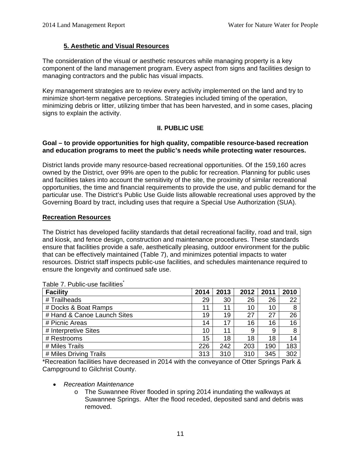## **5. Aesthetic and Visual Resources**

The consideration of the visual or aesthetic resources while managing property is a key component of the land management program. Every aspect from signs and facilities design to managing contractors and the public has visual impacts.

Key management strategies are to review every activity implemented on the land and try to minimize short-term negative perceptions. Strategies included timing of the operation, minimizing debris or litter, utilizing timber that has been harvested, and in some cases, placing signs to explain the activity.

## **II. PUBLIC USE**

#### **Goal – to provide opportunities for high quality, compatible resource-based recreation and education programs to meet the public's needs while protecting water resources.**

District lands provide many resource-based recreational opportunities. Of the 159,160 acres owned by the District, over 99% are open to the public for recreation. Planning for public uses and facilities takes into account the sensitivity of the site, the proximity of similar recreational opportunities, the time and financial requirements to provide the use, and public demand for the particular use. The District's Public Use Guide lists allowable recreational uses approved by the Governing Board by tract, including uses that require a Special Use Authorization (SUA).

#### **Recreation Resources**

The District has developed facility standards that detail recreational facility, road and trail, sign and kiosk, and fence design, construction and maintenance procedures. These standards ensure that facilities provide a safe, aesthetically pleasing, outdoor environment for the public that can be effectively maintained (Table 7), and minimizes potential impacts to water resources. District staff inspects public-use facilities, and schedules maintenance required to ensure the longevity and continued safe use.

| <b>Facility</b>             | 2014 | 2013 | 2012 | 2011 | 2010 |
|-----------------------------|------|------|------|------|------|
| # Trailheads                | 29   | 30   | 26   | 26   | 22   |
| # Docks & Boat Ramps        | 11   | 11   | 10   | 10   | 8    |
| # Hand & Canoe Launch Sites | 19   | 19   | 27   | 27   | 26   |
| # Picnic Areas              | 14   | 17   | 16   | 16   | 16   |
| # Interpretive Sites        | 10   | 11   | 9    | 9    | 8    |
| # Restrooms                 | 15   | 18   | 18   | 18   | 14   |
| # Miles Trails              | 226  | 242  | 203  | 190  | 183  |
| # Miles Driving Trails      | 313  | 310  | 310  | 345  | 302  |

Table 7. Public-use facilities<sup>\*</sup>

\*Recreation facilities have decreased in 2014 with the conveyance of Otter Springs Park & Campground to Gilchrist County.

*Recreation Maintenance* 

o The Suwannee River flooded in spring 2014 inundating the walkways at Suwannee Springs. After the flood receded, deposited sand and debris was removed.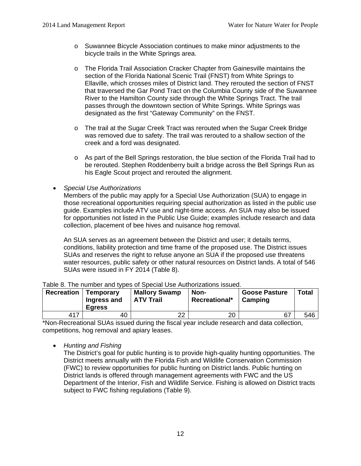- o Suwannee Bicycle Association continues to make minor adjustments to the bicycle trails in the White Springs area.
- o The Florida Trail Association Cracker Chapter from Gainesville maintains the section of the Florida National Scenic Trail (FNST) from White Springs to Ellaville, which crosses miles of District land. They rerouted the section of FNST that traversed the Gar Pond Tract on the Columbia County side of the Suwannee River to the Hamilton County side through the White Springs Tract. The trail passes through the downtown section of White Springs. White Springs was designated as the first "Gateway Community" on the FNST.
- o The trail at the Sugar Creek Tract was rerouted when the Sugar Creek Bridge was removed due to safety. The trail was rerouted to a shallow section of the creek and a ford was designated.
- $\circ$  As part of the Bell Springs restoration, the blue section of the Florida Trail had to be rerouted. Stephen Roddenberry built a bridge across the Bell Springs Run as his Eagle Scout project and rerouted the alignment.
- *Special Use Authorizations*

Members of the public may apply for a Special Use Authorization (SUA) to engage in those recreational opportunities requiring special authorization as listed in the public use guide. Examples include ATV use and night-time access. An SUA may also be issued for opportunities not listed in the Public Use Guide; examples include research and data collection, placement of bee hives and nuisance hog removal.

An SUA serves as an agreement between the District and user; it details terms, conditions, liability protection and time frame of the proposed use. The District issues SUAs and reserves the right to refuse anyone an SUA if the proposed use threatens water resources, public safety or other natural resources on District lands. A total of 546 SUAs were issued in FY 2014 (Table 8).

| <b>Recreation</b> | Temporary<br>Ingress and<br><b>E</b> aress | <b>Mallory Swamp</b><br><b>ATV Trail</b> | Non-<br>Recreational* | <b>Goose Pasture</b><br>Camping | <b>Total</b> |
|-------------------|--------------------------------------------|------------------------------------------|-----------------------|---------------------------------|--------------|
| 417               | 40                                         | 22                                       | 20                    | 67                              | 546          |

#### Table 8. The number and types of Special Use Authorizations issued.

\*Non-Recreational SUAs issued during the fiscal year include research and data collection, competitions, hog removal and apiary leases.

*Hunting and Fishing* 

The District's goal for public hunting is to provide high-quality hunting opportunities. The District meets annually with the Florida Fish and Wildlife Conservation Commission (FWC) to review opportunities for public hunting on District lands. Public hunting on District lands is offered through management agreements with FWC and the US Department of the Interior, Fish and Wildlife Service. Fishing is allowed on District tracts subject to FWC fishing regulations (Table 9).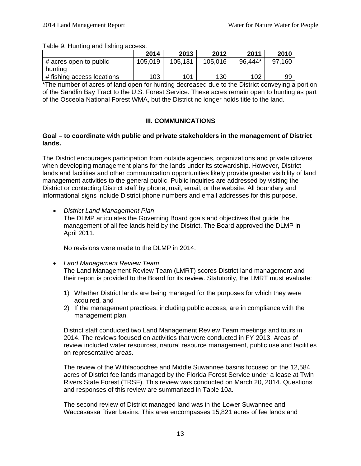Table 9. Hunting and fishing access.

|                            | 2014    | 2013    | 2012    | 2011    | 2010   |
|----------------------------|---------|---------|---------|---------|--------|
| # acres open to public     | 105,019 | 105,131 | 105,016 | 96,444* | 97,160 |
| hunting                    |         |         |         |         |        |
| # fishing access locations | 103     | 101     | 130     | 102     | 99     |

\*The number of acres of land open for hunting decreased due to the District conveying a portion of the Sandlin Bay Tract to the U.S. Forest Service. These acres remain open to hunting as part of the Osceola National Forest WMA, but the District no longer holds title to the land.

## **III. COMMUNICATIONS**

#### **Goal – to coordinate with public and private stakeholders in the management of District lands.**

The District encourages participation from outside agencies, organizations and private citizens when developing management plans for the lands under its stewardship. However, District lands and facilities and other communication opportunities likely provide greater visibility of land management activities to the general public. Public inquiries are addressed by visiting the District or contacting District staff by phone, mail, email, or the website. All boundary and informational signs include District phone numbers and email addresses for this purpose.

 *District Land Management Plan*  The DLMP articulates the Governing Board goals and objectives that guide the management of all fee lands held by the District. The Board approved the DLMP in April 2011.

No revisions were made to the DLMP in 2014.

- *Land Management Review Team*  The Land Management Review Team (LMRT) scores District land management and their report is provided to the Board for its review. Statutorily, the LMRT must evaluate:
	- 1) Whether District lands are being managed for the purposes for which they were acquired, and
	- 2) If the management practices, including public access, are in compliance with the management plan.

District staff conducted two Land Management Review Team meetings and tours in 2014. The reviews focused on activities that were conducted in FY 2013. Areas of review included water resources, natural resource management, public use and facilities on representative areas.

The review of the Withlacoochee and Middle Suwannee basins focused on the 12,584 acres of District fee lands managed by the Florida Forest Service under a lease at Twin Rivers State Forest (TRSF). This review was conducted on March 20, 2014. Questions and responses of this review are summarized in Table 10a.

The second review of District managed land was in the Lower Suwannee and Waccasassa River basins. This area encompasses 15,821 acres of fee lands and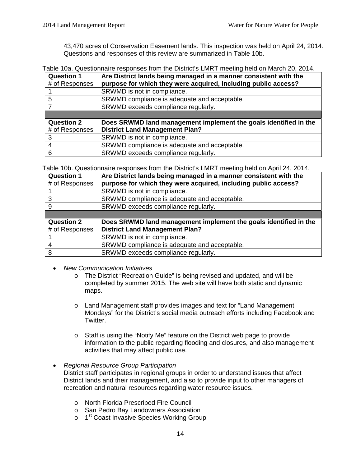43,470 acres of Conservation Easement lands. This inspection was held on April 24, 2014. Questions and responses of this review are summarized in Table 10b.

| <b>Question 1</b> | Are District lands being managed in a manner consistent with the |  |  |  |  |  |
|-------------------|------------------------------------------------------------------|--|--|--|--|--|
| # of Responses    | purpose for which they were acquired, including public access?   |  |  |  |  |  |
|                   | SRWMD is not in compliance.                                      |  |  |  |  |  |
| 5                 | SRWMD compliance is adequate and acceptable.                     |  |  |  |  |  |
|                   | SRWMD exceeds compliance regularly.                              |  |  |  |  |  |
|                   |                                                                  |  |  |  |  |  |
| <b>Question 2</b> | Does SRWMD land management implement the goals identified in the |  |  |  |  |  |
| # of Responses    | <b>District Land Management Plan?</b>                            |  |  |  |  |  |
|                   |                                                                  |  |  |  |  |  |
|                   | SRWMD is not in compliance.                                      |  |  |  |  |  |
|                   | SRWMD compliance is adequate and acceptable.                     |  |  |  |  |  |

Table 10a. Questionnaire responses from the District's LMRT meeting held on March 20, 2014.

Table 10b. Questionnaire responses from the District's LMRT meeting held on April 24, 2014.

| <b>Question 1</b><br># of Responses | Are District lands being managed in a manner consistent with the<br>purpose for which they were acquired, including public access? |  |  |  |  |
|-------------------------------------|------------------------------------------------------------------------------------------------------------------------------------|--|--|--|--|
|                                     | SRWMD is not in compliance.                                                                                                        |  |  |  |  |
|                                     |                                                                                                                                    |  |  |  |  |
|                                     | SRWMD compliance is adequate and acceptable.                                                                                       |  |  |  |  |
| 9                                   | SRWMD exceeds compliance regularly.                                                                                                |  |  |  |  |
|                                     |                                                                                                                                    |  |  |  |  |
| <b>Question 2</b>                   | Does SRWMD land management implement the goals identified in the                                                                   |  |  |  |  |
| # of Responses                      | <b>District Land Management Plan?</b>                                                                                              |  |  |  |  |
|                                     | SRWMD is not in compliance.                                                                                                        |  |  |  |  |
| 4                                   | SRWMD compliance is adequate and acceptable.                                                                                       |  |  |  |  |
| 8                                   | SRWMD exceeds compliance regularly.                                                                                                |  |  |  |  |

- *New Communication Initiatives*
	- o The District "Recreation Guide" is being revised and updated, and will be completed by summer 2015. The web site will have both static and dynamic maps.
	- o Land Management staff provides images and text for "Land Management Mondays" for the District's social media outreach efforts including Facebook and Twitter.
	- o Staff is using the "Notify Me" feature on the District web page to provide information to the public regarding flooding and closures, and also management activities that may affect public use.
- *Regional Resource Group Participation*  District staff participates in regional groups in order to understand issues that affect District lands and their management, and also to provide input to other managers of recreation and natural resources regarding water resource issues.
	- o North Florida Prescribed Fire Council
	- o San Pedro Bay Landowners Association
	- o 1<sup>st</sup> Coast Invasive Species Working Group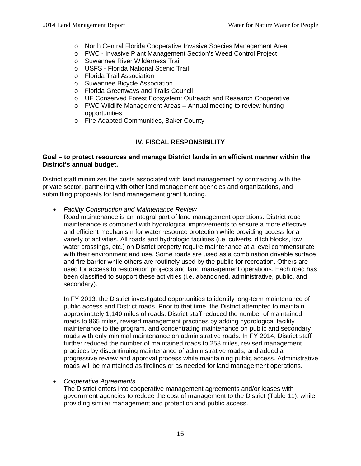- o North Central Florida Cooperative Invasive Species Management Area
- o FWC Invasive Plant Management Section's Weed Control Project
- o Suwannee River Wilderness Trail
- o USFS Florida National Scenic Trail
- o Florida Trail Association
- o Suwannee Bicycle Association
- o Florida Greenways and Trails Council
- o UF Conserved Forest Ecosystem: Outreach and Research Cooperative
- o FWC Wildlife Management Areas Annual meeting to review hunting opportunities
- o Fire Adapted Communities, Baker County

## **IV. FISCAL RESPONSIBILITY**

#### **Goal – to protect resources and manage District lands in an efficient manner within the District's annual budget.**

District staff minimizes the costs associated with land management by contracting with the private sector, partnering with other land management agencies and organizations, and submitting proposals for land management grant funding.

- *Facility Construction and Maintenance Review* 
	- Road maintenance is an integral part of land management operations. District road maintenance is combined with hydrological improvements to ensure a more effective and efficient mechanism for water resource protection while providing access for a variety of activities. All roads and hydrologic facilities (i.e. culverts, ditch blocks, low water crossings, etc.) on District property require maintenance at a level commensurate with their environment and use. Some roads are used as a combination drivable surface and fire barrier while others are routinely used by the public for recreation. Others are used for access to restoration projects and land management operations. Each road has been classified to support these activities (i.e. abandoned, administrative, public, and secondary).

In FY 2013, the District investigated opportunities to identify long-term maintenance of public access and District roads. Prior to that time, the District attempted to maintain approximately 1,140 miles of roads. District staff reduced the number of maintained roads to 865 miles, revised management practices by adding hydrological facility maintenance to the program, and concentrating maintenance on public and secondary roads with only minimal maintenance on administrative roads. In FY 2014, District staff further reduced the number of maintained roads to 258 miles, revised management practices by discontinuing maintenance of administrative roads, and added a progressive review and approval process while maintaining public access. Administrative roads will be maintained as firelines or as needed for land management operations.

#### *Cooperative Agreements*

The District enters into cooperative management agreements and/or leases with government agencies to reduce the cost of management to the District (Table 11), while providing similar management and protection and public access.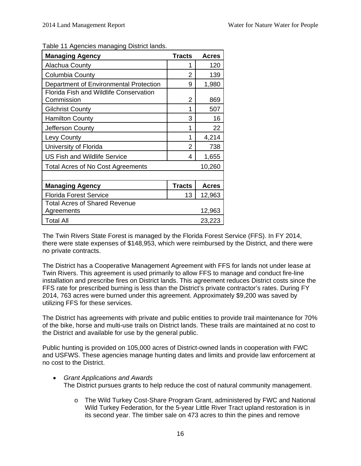| <b>Managing Agency</b>                                      | <b>Tracts</b>  | <b>Acres</b> |
|-------------------------------------------------------------|----------------|--------------|
| Alachua County                                              | 1              | 120          |
| <b>Columbia County</b>                                      | $\overline{2}$ | 139          |
| Department of Environmental Protection                      | 9              | 1,980        |
| <b>Florida Fish and Wildlife Conservation</b><br>Commission | 2              | 869          |
| <b>Gilchrist County</b>                                     | 1              | 507          |
| <b>Hamilton County</b>                                      | 3              | 16           |
| Jefferson County                                            | 1              | 22           |
| Levy County                                                 | 1              | 4,214        |
| University of Florida                                       | 2              | 738          |
| <b>US Fish and Wildlife Service</b>                         | 4              | 1,655        |
| Total Acres of No Cost Agreements                           |                | 10,260       |
|                                                             |                |              |
| <b>Managing Agency</b>                                      | <b>Tracts</b>  | <b>Acres</b> |
| <b>Florida Forest Service</b>                               | 13             | 12,963       |
| <b>Total Acres of Shared Revenue</b>                        |                |              |
| Agreements                                                  |                | 12,963       |
| Total All                                                   |                | 23,223       |

Table 11 Agencies managing District lands.

The Twin Rivers State Forest is managed by the Florida Forest Service (FFS). In FY 2014, there were state expenses of \$148,953, which were reimbursed by the District, and there were no private contracts.

The District has a Cooperative Management Agreement with FFS for lands not under lease at Twin Rivers. This agreement is used primarily to allow FFS to manage and conduct fire-line installation and prescribe fires on District lands. This agreement reduces District costs since the FFS rate for prescribed burning is less than the District's private contractor's rates. During FY 2014, 763 acres were burned under this agreement. Approximately \$9,200 was saved by utilizing FFS for these services.

The District has agreements with private and public entities to provide trail maintenance for 70% of the bike, horse and multi-use trails on District lands. These trails are maintained at no cost to the District and available for use by the general public.

Public hunting is provided on 105,000 acres of District-owned lands in cooperation with FWC and USFWS. These agencies manage hunting dates and limits and provide law enforcement at no cost to the District.

- *Grant Applications and Awards*  The District pursues grants to help reduce the cost of natural community management.
	- o The Wild Turkey Cost-Share Program Grant, administered by FWC and National Wild Turkey Federation, for the 5-year Little River Tract upland restoration is in its second year. The timber sale on 473 acres to thin the pines and remove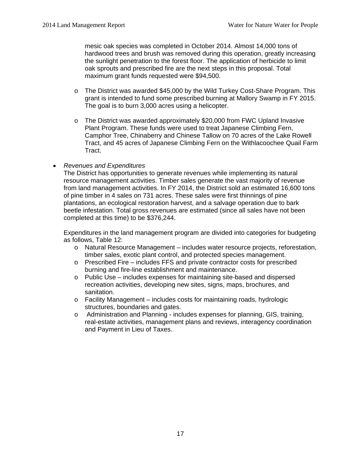mesic oak species was completed in October 2014. Almost 14,000 tons of hardwood trees and brush was removed during this operation, greatly increasing the sunlight penetration to the forest floor. The application of herbicide to limit oak sprouts and prescribed fire are the next steps in this proposal. Total maximum grant funds requested were \$94,500.

- o The District was awarded \$45,000 by the Wild Turkey Cost-Share Program. This grant is intended to fund some prescribed burning at Mallory Swamp in FY 2015. The goal is to burn 3,000 acres using a helicopter.
- o The District was awarded approximately \$20,000 from FWC Upland Invasive Plant Program. These funds were used to treat Japanese Climbing Fern, Camphor Tree, Chinaberry and Chinese Tallow on 70 acres of the Lake Rowell Tract, and 45 acres of Japanese Climbing Fern on the Withlacoochee Quail Farm Tract.

#### *Revenues and Expenditures*

The District has opportunities to generate revenues while implementing its natural resource management activities. Timber sales generate the vast majority of revenue from land management activities. In FY 2014, the District sold an estimated 16,600 tons of pine timber in 4 sales on 731 acres. These sales were first thinnings of pine plantations, an ecological restoration harvest, and a salvage operation due to bark beetle infestation. Total gross revenues are estimated (since all sales have not been completed at this time) to be \$376,244.

Expenditures in the land management program are divided into categories for budgeting as follows, Table 12:

- o Natural Resource Management includes water resource projects, reforestation, timber sales, exotic plant control, and protected species management.
- o Prescribed Fire includes FFS and private contractor costs for prescribed burning and fire-line establishment and maintenance.
- o Public Use includes expenses for maintaining site-based and dispersed recreation activities, developing new sites, signs, maps, brochures, and sanitation.
- $\circ$  Facility Management includes costs for maintaining roads, hydrologic structures, boundaries and gates.
- o Administration and Planning includes expenses for planning, GIS, training, real-estate activities, management plans and reviews, interagency coordination and Payment in Lieu of Taxes.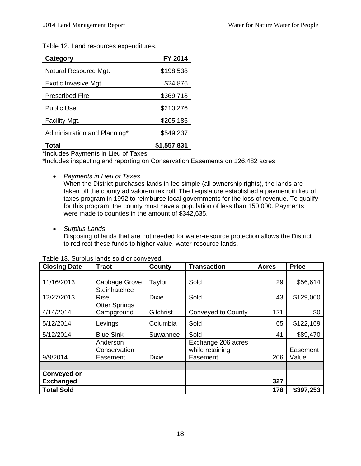Table 12. Land resources expenditures.

| <b>Category</b>              | FY 2014     |
|------------------------------|-------------|
| Natural Resource Mgt.        | \$198,538   |
| Exotic Invasive Mgt.         | \$24,876    |
| <b>Prescribed Fire</b>       | \$369,718   |
| <b>Public Use</b>            | \$210,276   |
| Facility Mgt.                | \$205,186   |
| Administration and Planning* | \$549,237   |
| Total                        | \$1,557,831 |

\*Includes Payments in Lieu of Taxes

\*Includes inspecting and reporting on Conservation Easements on 126,482 acres

*Payments in Lieu of Taxes* 

When the District purchases lands in fee simple (all ownership rights), the lands are taken off the county ad valorem tax roll. The Legislature established a payment in lieu of taxes program in 1992 to reimburse local governments for the loss of revenue. To qualify for this program, the county must have a population of less than 150,000. Payments were made to counties in the amount of \$342,635.

*Surplus Lands* 

Disposing of lands that are not needed for water-resource protection allows the District to redirect these funds to higher value, water-resource lands.

| <b>Closing Date</b> | <b>Tract</b>         | County           | <b>Transaction</b> | <b>Acres</b> | <b>Price</b> |
|---------------------|----------------------|------------------|--------------------|--------------|--------------|
|                     |                      |                  |                    |              |              |
| 11/16/2013          | Cabbage Grove        | Taylor           | Sold               | 29           | \$56,614     |
|                     | Steinhatchee         |                  |                    |              |              |
| 12/27/2013          | <b>Rise</b>          | <b>Dixie</b>     | Sold               | 43           | \$129,000    |
|                     | <b>Otter Springs</b> |                  |                    |              |              |
| 4/14/2014           | Campground           | <b>Gilchrist</b> | Conveyed to County | 121          | \$0          |
| 5/12/2014           | Levings              | Columbia         | Sold               | 65           | \$122,169    |
| 5/12/2014           | <b>Blue Sink</b>     | Suwannee         | Sold               | 41           | \$89,470     |
|                     | Anderson             |                  | Exchange 206 acres |              |              |
|                     | Conservation         |                  | while retaining    |              | Easement     |
| 9/9/2014            | Easement             | <b>Dixie</b>     | Easement           | 206          | Value        |
|                     |                      |                  |                    |              |              |
| <b>Conveyed or</b>  |                      |                  |                    |              |              |
| <b>Exchanged</b>    |                      |                  |                    | 327          |              |
| <b>Total Sold</b>   |                      |                  |                    | 178          | \$397,253    |

Table 13. Surplus lands sold or conveyed.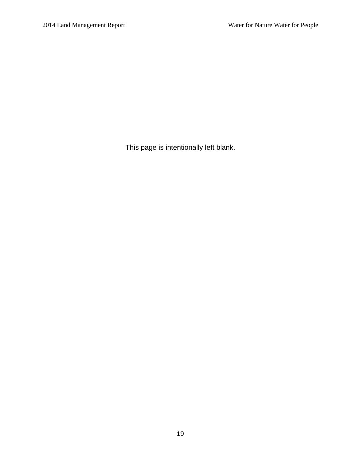This page is intentionally left blank.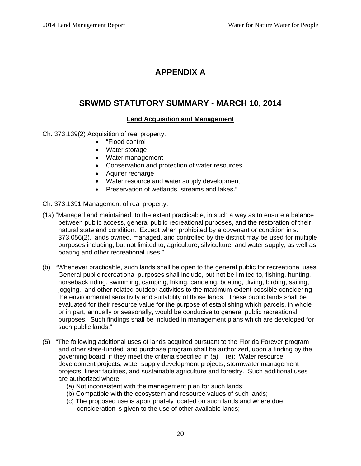# **APPENDIX A**

## **SRWMD STATUTORY SUMMARY - MARCH 10, 2014**

## **Land Acquisition and Management**

Ch. 373.139(2) Acquisition of real property.

- "Flood control
- Water storage
- Water management
- Conservation and protection of water resources
- Aquifer recharge
- Water resource and water supply development
- Preservation of wetlands, streams and lakes."
- Ch. 373.1391 Management of real property.
- (1a) "Managed and maintained, to the extent practicable, in such a way as to ensure a balance between public access, general public recreational purposes, and the restoration of their natural state and condition. Except when prohibited by a covenant or condition in s. 373.056(2), lands owned, managed, and controlled by the district may be used for multiple purposes including, but not limited to, agriculture, silviculture, and water supply, as well as boating and other recreational uses."
- (b) "Whenever practicable, such lands shall be open to the general public for recreational uses. General public recreational purposes shall include, but not be limited to, fishing, hunting, horseback riding, swimming, camping, hiking, canoeing, boating, diving, birding, sailing, jogging, and other related outdoor activities to the maximum extent possible considering the environmental sensitivity and suitability of those lands. These public lands shall be evaluated for their resource value for the purpose of establishing which parcels, in whole or in part, annually or seasonally, would be conducive to general public recreational purposes. Such findings shall be included in management plans which are developed for such public lands."
- (5) "The following additional uses of lands acquired pursuant to the Florida Forever program and other state-funded land purchase program shall be authorized, upon a finding by the governing board, if they meet the criteria specified in  $(a) - (e)$ : Water resource development projects, water supply development projects, stormwater management projects, linear facilities, and sustainable agriculture and forestry. Such additional uses are authorized where:
	- (a) Not inconsistent with the management plan for such lands;
	- (b) Compatible with the ecosystem and resource values of such lands;
	- (c) The proposed use is appropriately located on such lands and where due consideration is given to the use of other available lands;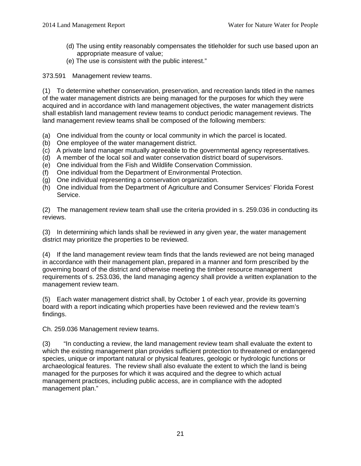- (d) The using entity reasonably compensates the titleholder for such use based upon an appropriate measure of value;
- (e) The use is consistent with the public interest."

373.591 Management review teams.

(1) To determine whether conservation, preservation, and recreation lands titled in the names of the water management districts are being managed for the purposes for which they were acquired and in accordance with land management objectives, the water management districts shall establish land management review teams to conduct periodic management reviews. The land management review teams shall be composed of the following members:

- (a) One individual from the county or local community in which the parcel is located.
- (b) One employee of the water management district.
- (c) A private land manager mutually agreeable to the governmental agency representatives.
- (d) A member of the local soil and water conservation district board of supervisors.
- (e) One individual from the Fish and Wildlife Conservation Commission.
- (f) One individual from the Department of Environmental Protection.
- (g) One individual representing a conservation organization.
- (h) One individual from the Department of Agriculture and Consumer Services' Florida Forest Service.

(2) The management review team shall use the criteria provided in s. 259.036 in conducting its reviews.

(3) In determining which lands shall be reviewed in any given year, the water management district may prioritize the properties to be reviewed.

(4) If the land management review team finds that the lands reviewed are not being managed in accordance with their management plan, prepared in a manner and form prescribed by the governing board of the district and otherwise meeting the timber resource management requirements of s. 253.036, the land managing agency shall provide a written explanation to the management review team.

(5) Each water management district shall, by October 1 of each year, provide its governing board with a report indicating which properties have been reviewed and the review team's findings.

Ch. 259.036 Management review teams.

(3) "In conducting a review, the land management review team shall evaluate the extent to which the existing management plan provides sufficient protection to threatened or endangered species, unique or important natural or physical features, geologic or hydrologic functions or archaeological features. The review shall also evaluate the extent to which the land is being managed for the purposes for which it was acquired and the degree to which actual management practices, including public access, are in compliance with the adopted management plan."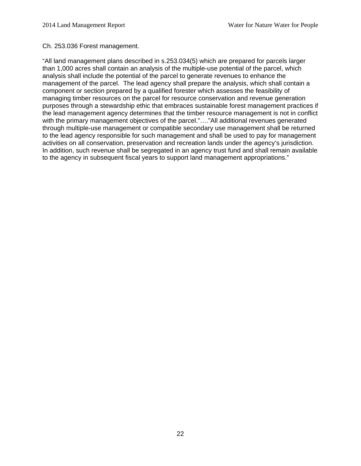#### Ch. 253.036 Forest management.

"All land management plans described in s.253.034(5) which are prepared for parcels larger than 1,000 acres shall contain an analysis of the multiple-use potential of the parcel, which analysis shall include the potential of the parcel to generate revenues to enhance the management of the parcel. The lead agency shall prepare the analysis, which shall contain a component or section prepared by a qualified forester which assesses the feasibility of managing timber resources on the parcel for resource conservation and revenue generation purposes through a stewardship ethic that embraces sustainable forest management practices if the lead management agency determines that the timber resource management is not in conflict with the primary management objectives of the parcel."…."All additional revenues generated through multiple-use management or compatible secondary use management shall be returned to the lead agency responsible for such management and shall be used to pay for management activities on all conservation, preservation and recreation lands under the agency's jurisdiction. In addition, such revenue shall be segregated in an agency trust fund and shall remain available to the agency in subsequent fiscal years to support land management appropriations."